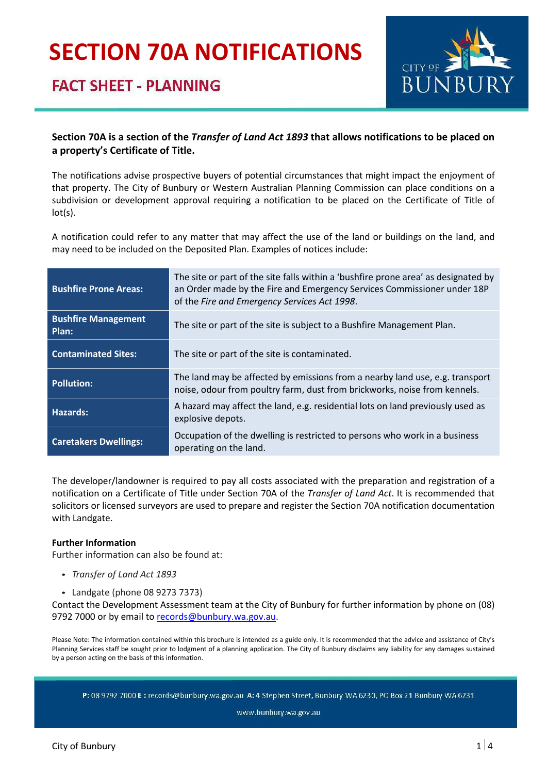# **SECTION 70A NOTIFICATIONS**

## **FACT SHEET - PLANNING**



#### **Section 70A is a section of the** *Transfer of Land Act 1893* **that allows notifications to be placed on a property's Certificate of Title.**

The notifications advise prospective buyers of potential circumstances that might impact the enjoyment of that property. The City of Bunbury or Western Australian Planning Commission can place conditions on a subdivision or development approval requiring a notification to be placed on the Certificate of Title of lot(s).

A notification could refer to any matter that may affect the use of the land or buildings on the land, and may need to be included on the Deposited Plan. Examples of notices include:

| <b>Bushfire Prone Areas:</b>        | The site or part of the site falls within a 'bushfire prone area' as designated by<br>an Order made by the Fire and Emergency Services Commissioner under 18P<br>of the Fire and Emergency Services Act 1998. |  |
|-------------------------------------|---------------------------------------------------------------------------------------------------------------------------------------------------------------------------------------------------------------|--|
| <b>Bushfire Management</b><br>Plan: | The site or part of the site is subject to a Bushfire Management Plan.                                                                                                                                        |  |
| <b>Contaminated Sites:</b>          | The site or part of the site is contaminated.                                                                                                                                                                 |  |
| <b>Pollution:</b>                   | The land may be affected by emissions from a nearby land use, e.g. transport<br>noise, odour from poultry farm, dust from brickworks, noise from kennels.                                                     |  |
| Hazards:                            | A hazard may affect the land, e.g. residential lots on land previously used as<br>explosive depots.                                                                                                           |  |
| <b>Caretakers Dwellings:</b>        | Occupation of the dwelling is restricted to persons who work in a business<br>operating on the land.                                                                                                          |  |

The developer/landowner is required to pay all costs associated with the preparation and registration of a notification on a Certificate of Title under Section 70A of the *Transfer of Land Act*. It is recommended that solicitors or licensed surveyors are used to prepare and register the Section 70A notification documentation with Landgate.

#### **Further Information**

Further information can also be found at:

- *Transfer of Land Act 1893*
- Landgate (phone 08 9273 7373)

Contact the Development Assessment team at the City of Bunbury for further information by phone on (08) 9792 7000 or by email to [records@bunbury.wa.gov.au.](mailto:records@bunbury.wa.gov.au)

Please Note: The information contained within this brochure is intended as a guide only. It is recommended that the advice and assistance of City's Planning Services staff be sought prior to lodgment of a planning application. The City of Bunbury disclaims any liability for any damages sustained by a person acting on the basis of this information.

P: 08 9792 7000 E: records@bunbury.wa.gov.au A: 4 Stephen Street, Bunbury WA 6230, PO Box 21 Bunbury WA 6231

www.bunbury.wa.gov.au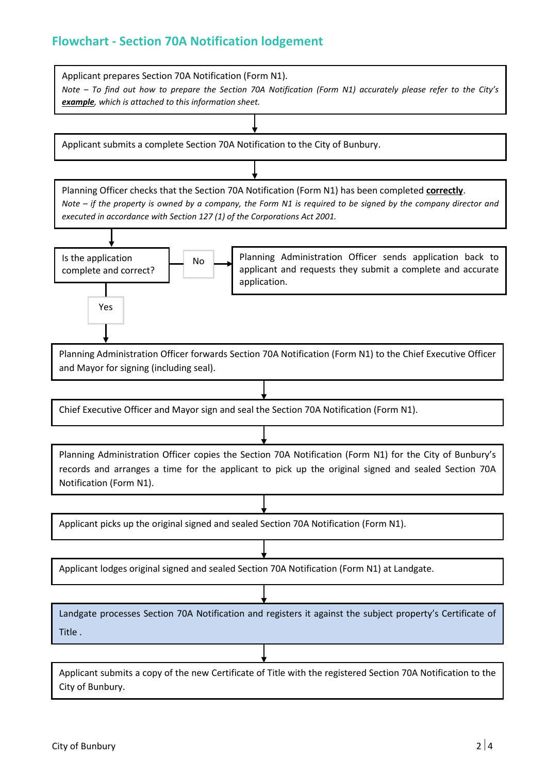#### **Flowchart - Section 70A Notification lodgement**

Applicant prepares Section 70A Notification (Form N1). *Note – To find out how to prepare the Section 70A Notification (Form N1) accurately please refer to the City's example, which is attached to this information sheet.*  Applicant submits a complete Section 70A Notification to the City of Bunbury. Planning Officer checks that the Section 70A Notification (Form N1) has been completed **correctly**. *Note – if the property is owned by a company, the Form N1 is required to be signed by the company director and executed in accordance with Section 127 (1) of the Corporations Act 2001.*  Is the application complete and correct? Planning Administration Officer forwards Section 70A Notification (Form N1) to the Chief Executive Officer and Mayor for signing (including seal). Applicant picks up the original signed and sealed Section 70A Notification (Form N1). Planning Administration Officer copies the Section 70A Notification (Form N1) for the City of Bunbury's records and arranges a time for the applicant to pick up the original signed and sealed Section 70A Notification (Form N1). Chief Executive Officer and Mayor sign and seal the Section 70A Notification (Form N1). No Yes Applicant lodges original signed and sealed Section 70A Notification (Form N1) at Landgate. Applicant submits a copy of the new Certificate of Title with the registered Section 70A Notification to the City of Bunbury. Landgate processes Section 70A Notification and registers it against the subject property's Certificate of Title . Planning Administration Officer sends application back to applicant and requests they submit a complete and accurate application. 1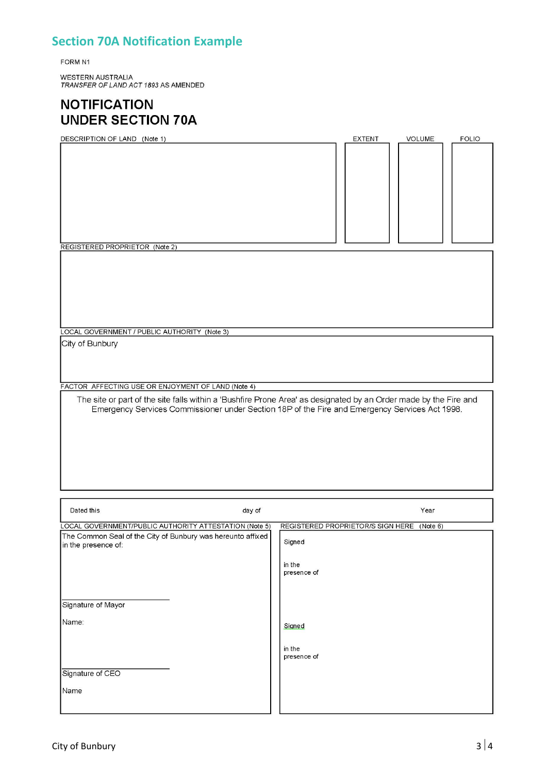### **Section 70A Notification Example**

FORM N1

WESTERN AUSTRALIA<br>*TRANSFER OF LAND ACT 1893 A*S AMENDED

### **NOTIFICATION UNDER SECTION 70A**

| DESCRIPTION OF LAND (Note 1)                                                                                                                                                                                       |                                   | <b>EXTENT</b> | VOLUME   | <b>FOLIO</b> |
|--------------------------------------------------------------------------------------------------------------------------------------------------------------------------------------------------------------------|-----------------------------------|---------------|----------|--------------|
|                                                                                                                                                                                                                    |                                   |               |          |              |
| REGISTERED PROPRIETOR (Note 2)                                                                                                                                                                                     |                                   |               |          |              |
|                                                                                                                                                                                                                    |                                   |               |          |              |
| LOCAL GOVERNMENT / PUBLIC AUTHORITY (Note 3)                                                                                                                                                                       |                                   |               |          |              |
| City of Bunbury                                                                                                                                                                                                    |                                   |               |          |              |
| FACTOR AFFECTING USE OR ENJOYMENT OF LAND (Note 4)                                                                                                                                                                 |                                   |               |          |              |
| The site or part of the site falls within a 'Bushfire Prone Area' as designated by an Order made by the Fire and<br>Emergency Services Commissioner under Section 18P of the Fire and Emergency Services Act 1998. |                                   |               |          |              |
| Dated this<br>day of                                                                                                                                                                                               |                                   |               | Year     |              |
| LOCAL GOVERNMENT/PUBLIC AUTHORITY ATTESTATION (Note 5)                                                                                                                                                             | REGISTERED PROPRIETOR/S SIGN HERE |               | (Note 6) |              |
| The Common Seal of the City of Bunbury was hereunto affixed<br>in the presence of:                                                                                                                                 | Signed<br>in the<br>presence of   |               |          |              |
| Signature of Mayor                                                                                                                                                                                                 |                                   |               |          |              |
| Name:                                                                                                                                                                                                              | Signed<br>in the<br>presence of   |               |          |              |
| Signature of CEO                                                                                                                                                                                                   |                                   |               |          |              |
| Name                                                                                                                                                                                                               |                                   |               |          |              |